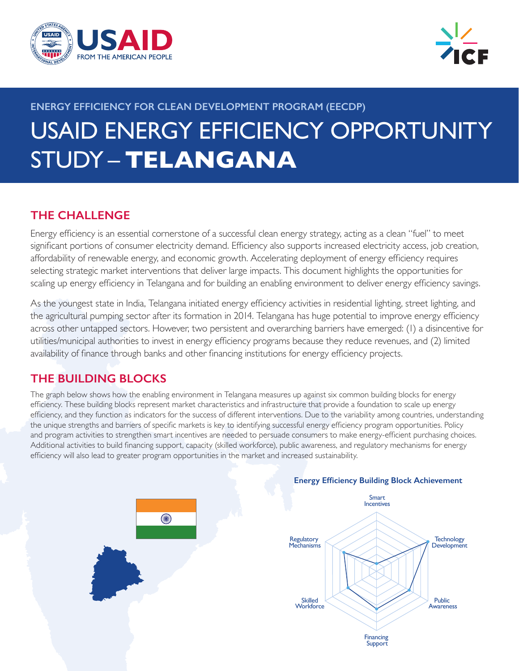



# **ENERGY EFFICIENCY FOR CLEAN DEVELOPMENT PROGRAM (EECDP)** USAID ENERGY EFFICIENCY OPPORTUNITY STUDY – **TELANGANA**

# **THE CHALLENGE**

Energy efficiency is an essential cornerstone of a successful clean energy strategy, acting as a clean "fuel" to meet significant portions of consumer electricity demand. Efficiency also supports increased electricity access, job creation, affordability of renewable energy, and economic growth. Accelerating deployment of energy efficiency requires selecting strategic market interventions that deliver large impacts. This document highlights the opportunities for scaling up energy efficiency in Telangana and for building an enabling environment to deliver energy efficiency savings.

As the youngest state in India, Telangana initiated energy efficiency activities in residential lighting, street lighting, and the agricultural pumping sector after its formation in 2014. Telangana has huge potential to improve energy efficiency across other untapped sectors. However, two persistent and overarching barriers have emerged: (1) a disincentive for utilities/municipal authorities to invest in energy efficiency programs because they reduce revenues, and (2) limited availability of finance through banks and other financing institutions for energy efficiency projects.

# **THE BUILDING BLOCKS**

The graph below shows how the enabling environment in Telangana measures up against six common building blocks for energy efficiency. These building blocks represent market characteristics and infrastructure that provide a foundation to scale up energy efficiency, and they function as indicators for the success of different interventions. Due to the variability among countries, understanding the unique strengths and barriers of specific markets is key to identifying successful energy efficiency program opportunities. Policy and program activities to strengthen smart incentives are needed to persuade consumers to make energy-efficient purchasing choices. Additional activities to build financing support, capacity (skilled workforce), public awareness, and regulatory mechanisms for energy efficiency will also lead to greater program opportunities in the market and increased sustainability.